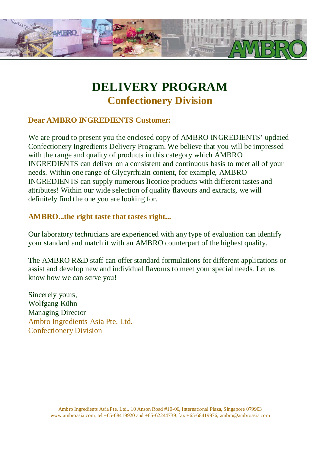

# **DELIVERY PROGRAM Confectionery Division**

## **Dear AMBRO INGREDIENTS Customer:**

We are proud to present you the enclosed copy of AMBRO INGREDIENTS' updated Confectionery Ingredients Delivery Program. We believe that you will be impressed with the range and quality of products in this category which AMBRO INGREDIENTS can deliver on a consistent and continuous basis to meet all of your needs. Within one range of Glycyrrhizin content, for example, AMBRO INGREDIENTS can supply numerous licorice products with different tastes and attributes! Within our wide selection of quality flavours and extracts, we will definitely find the one you are looking for.

## **AMBRO...the right taste that tastes right...**

Our laboratory technicians are experienced with any type of evaluation can identify your standard and match it with an AMBRO counterpart of the highest quality.

The AMBRO R&D staff can offer standard formulations for different applications or assist and develop new and individual flavours to meet your special needs. Let us know how we can serve you!

Sincerely yours, Wolfgang Kühn Managing Director Ambro Ingredients Asia Pte. Ltd. Confectionery Division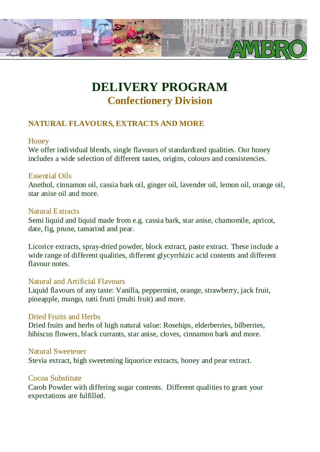

# **DELIVERY PROGRAM Confectionery Division**

# **NATURAL FLAVOURS, EXTRACTS AND MORE**

#### **Honey**

We offer individual blends, single flavours of standardized qualities. Our honey includes a wide selection of different tastes, origins, colours and consistencies.

## Essential Oils

Anethol, cinnamon oil, cassia bark oil, ginger oil, lavender oil, lemon oil, orange oil, star anise oil and more.

#### Natural Extracts

Semi liquid and liquid made from e.g. cassia bark, star anise, chamomile, apricot, date, fig, prune, tamarind and pear.

Licorice extracts, spray-dried powder, block extract, paste extract. These include a wide range of different qualities, different glycyrrhizic acid contents and different flavour notes.

#### Natural and Artificial Flavours

Liquid flavours of any taste: Vanilla, peppermint, orange, strawberry, jack fruit, pineapple, mango, tutti frutti (multi fruit) and more.

## Dried Fruits and Herbs

Dried fruits and herbs of high natural value: Rosehips, elderberries, bilberries, hibiscus flowers, black currants, star anise, cloves, cinnamon bark and more.

## Natural Sweetener

Stevia extract, high sweetening liquorice extracts, honey and pear extract.

#### Cocoa Substitute

Carob Powder with differing sugar contents. Different qualities to grant your expectations are fulfilled.